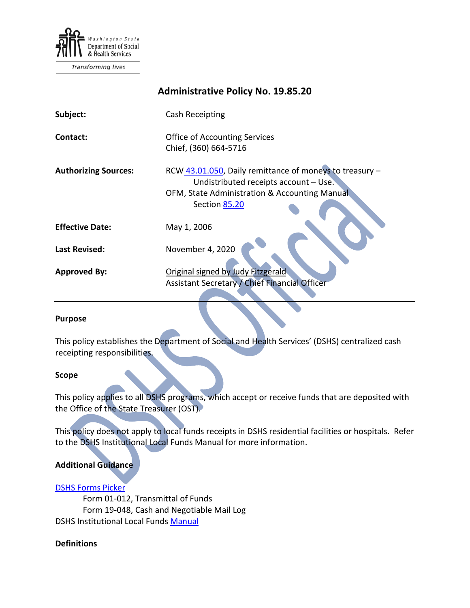

Transforming lives

# **Administrative Policy No. 19.85.20 Subject:** Cash Receipting **Contact: Contact: Contact: Office of Accounting Services** Chief, (360) 664-5716 **Authorizing Sources:** RCW [43.01.050,](http://apps.leg.wa.gov/RCW/default.aspx?cite=43.01.050) Daily remittance of moneys to treasury – Undistributed receipts account – Use. OFM, State Administration & Accounting Manual Sectio[n 85.20](http://www.ofm.wa.gov/policy/85.20.htm) **Effective Date:** May 1, 2006 **Last Revised:** November 4, 2020 **Approved By:** Original signed by Judy Fitzgerald Assistant Secretary / Chief Financial Officer

#### **Purpose**

This policy establishes the Department of Social and Health Services' (DSHS) centralized cash receipting responsibilities.

#### **Scope**

This policy applies to all DSHS programs, which accept or receive funds that are deposited with the Office of the State Treasurer (OST).

This policy does not apply to local funds receipts in DSHS residential facilities or hospitals. Refer to the DSHS Institutional Local Funds Manual for more information.

### **Additional Guidance**

#### [DSHS Forms Picker](http://forms.dshs.wa.lcl/)

Form 01-012, Transmittal of Funds Form 19-048, Cash and Negotiable Mail Log DSHS Institutional Local Funds [Manual](http://one.dshs.wa.lcl/FS/Fiscal/Accounting/FinMan/Close/Institutional%20Local%20Funds/Local%20Funds%20Manual.doc)

#### **Definitions**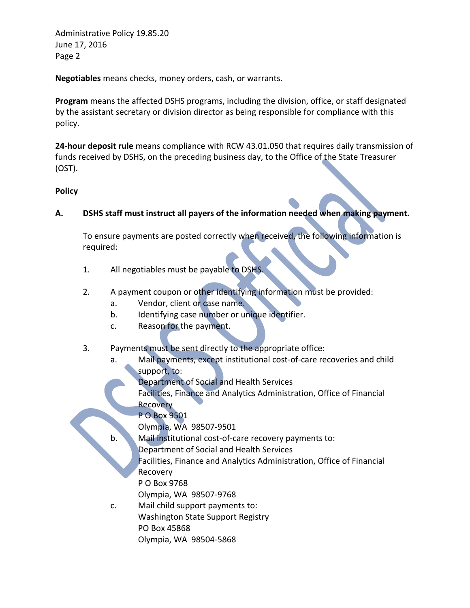Administrative Policy 19.85.20 June 17, 2016 Page 2

**Negotiables** means checks, money orders, cash, or warrants.

**Program** means the affected DSHS programs, including the division, office, or staff designated by the assistant secretary or division director as being responsible for compliance with this policy.

**24-hour deposit rule** means compliance with RCW 43.01.050 that requires daily transmission of funds received by DSHS, on the preceding business day, to the Office of the State Treasurer (OST).

## **Policy**

**A. DSHS staff must instruct all payers of the information needed when making payment.**

To ensure payments are posted correctly when received, the following information is required:

- 1. All negotiables must be payable to DSHS.
- 2. A payment coupon or other identifying information must be provided:
	- a. Vendor, client or case name.
	- b. Identifying case number or unique identifier.
	- c. Reason for the payment.
- 3. Payments must be sent directly to the appropriate office:
	- a. Mail payments, except institutional cost-of-care recoveries and child support, to:
		- Department of Social and Health Services
		- Facilities, Finance and Analytics Administration, Office of Financial Recovery
		- P O Box 9501

Olympia, WA 98507-9501

- b. Mail institutional cost-of-care recovery payments to:
	- Department of Social and Health Services

Facilities, Finance and Analytics Administration, Office of Financial Recovery

P O Box 9768

Olympia, WA 98507-9768

c. Mail child support payments to: Washington State Support Registry PO Box 45868 Olympia, WA 98504-5868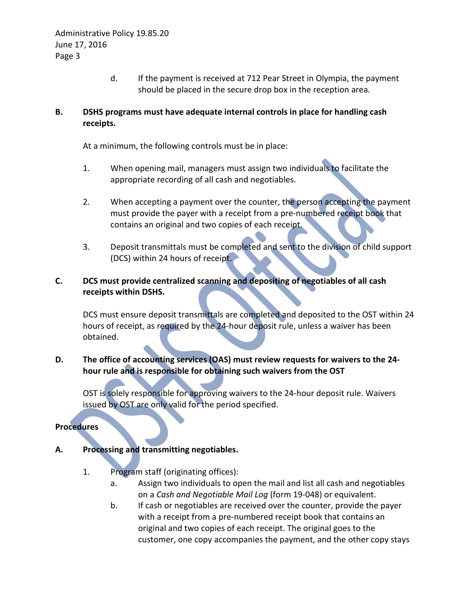d. If the payment is received at 712 Pear Street in Olympia, the payment should be placed in the secure drop box in the reception area.

# **B. DSHS programs must have adequate internal controls in place for handling cash receipts.**

At a minimum, the following controls must be in place:

- 1. When opening mail, managers must assign two individuals to facilitate the appropriate recording of all cash and negotiables.
- 2. When accepting a payment over the counter, the person accepting the payment must provide the payer with a receipt from a pre-numbered receipt book that contains an original and two copies of each receipt.
- 3. Deposit transmittals must be completed and sent to the division of child support (DCS) within 24 hours of receipt.

## **C. DCS must provide centralized scanning and depositing of negotiables of all cash receipts within DSHS.**

DCS must ensure deposit transmittals are completed and deposited to the OST within 24 hours of receipt, as required by the 24-hour deposit rule, unless a waiver has been obtained.

## **D. The office of accounting services (OAS) must review requests for waivers to the 24 hour rule and is responsible for obtaining such waivers from the OST**

OST is solely responsible for approving waivers to the 24-hour deposit rule. Waivers issued by OST are only valid for the period specified.

**Procedures**

## **A. Processing and transmitting negotiables.**

- 1. Program staff (originating offices):
	- a. Assign two individuals to open the mail and list all cash and negotiables on a *Cash and Negotiable Mail Log* (form 19-048) or equivalent.
	- b. If cash or negotiables are received over the counter, provide the payer with a receipt from a pre-numbered receipt book that contains an original and two copies of each receipt. The original goes to the customer, one copy accompanies the payment, and the other copy stays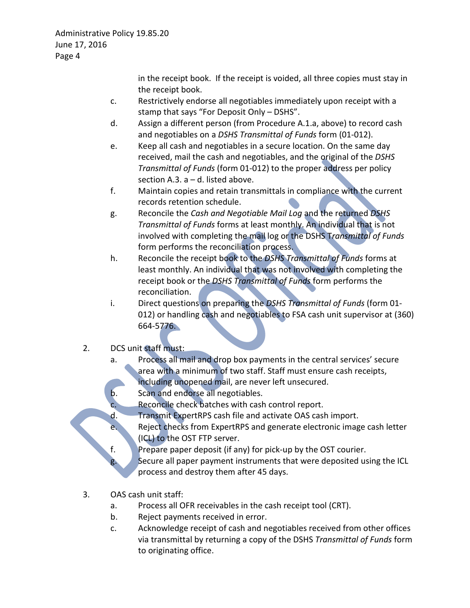in the receipt book. If the receipt is voided, all three copies must stay in the receipt book.

- c. Restrictively endorse all negotiables immediately upon receipt with a stamp that says "For Deposit Only – DSHS".
- d. Assign a different person (from Procedure A.1.a, above) to record cash and negotiables on a *DSHS Transmittal of Funds* form (01-012).
- e. Keep all cash and negotiables in a secure location. On the same day received, mail the cash and negotiables, and the original of the *DSHS Transmittal of Funds* (form 01-012) to the proper address per policy section A.3.  $a - d$ . listed above.
- f. Maintain copies and retain transmittals in compliance with the current records retention schedule.
- g. Reconcile the *Cash and Negotiable Mail Log* and the returned *DSHS Transmittal of Funds* forms at least monthly. An individual that is not involved with completing the mail log or the DSHS T*ransmittal of Funds* form performs the reconciliation process.
- h. Reconcile the receipt book to the *DSHS Transmittal of Funds* forms at least monthly. An individual that was not involved with completing the receipt book or the *DSHS Transmittal of Funds* form performs the reconciliation.
- i. Direct questions on preparing the *DSHS Transmittal of Funds* (form 01- 012) or handling cash and negotiables to FSA cash unit supervisor at (360) 664-5776.
- 2. DCS unit staff must:
	- a. Process all mail and drop box payments in the central services' secure area with a minimum of two staff. Staff must ensure cash receipts,
		- including unopened mail, are never left unsecured.
	- b. Scan and endorse all negotiables.
	- c. Reconcile check batches with cash control report.
	- d. Transmit ExpertRPS cash file and activate OAS cash import.
	- e. Reject checks from ExpertRPS and generate electronic image cash letter (ICL) to the OST FTP server.
	- f. Prepare paper deposit (if any) for pick-up by the OST courier.
	- g. Secure all paper payment instruments that were deposited using the ICL process and destroy them after 45 days.
- 3. OAS cash unit staff:
	- a. Process all OFR receivables in the cash receipt tool (CRT).
	- b. Reject payments received in error.
	- c. Acknowledge receipt of cash and negotiables received from other offices via transmittal by returning a copy of the DSHS *Transmittal of Funds* form to originating office.